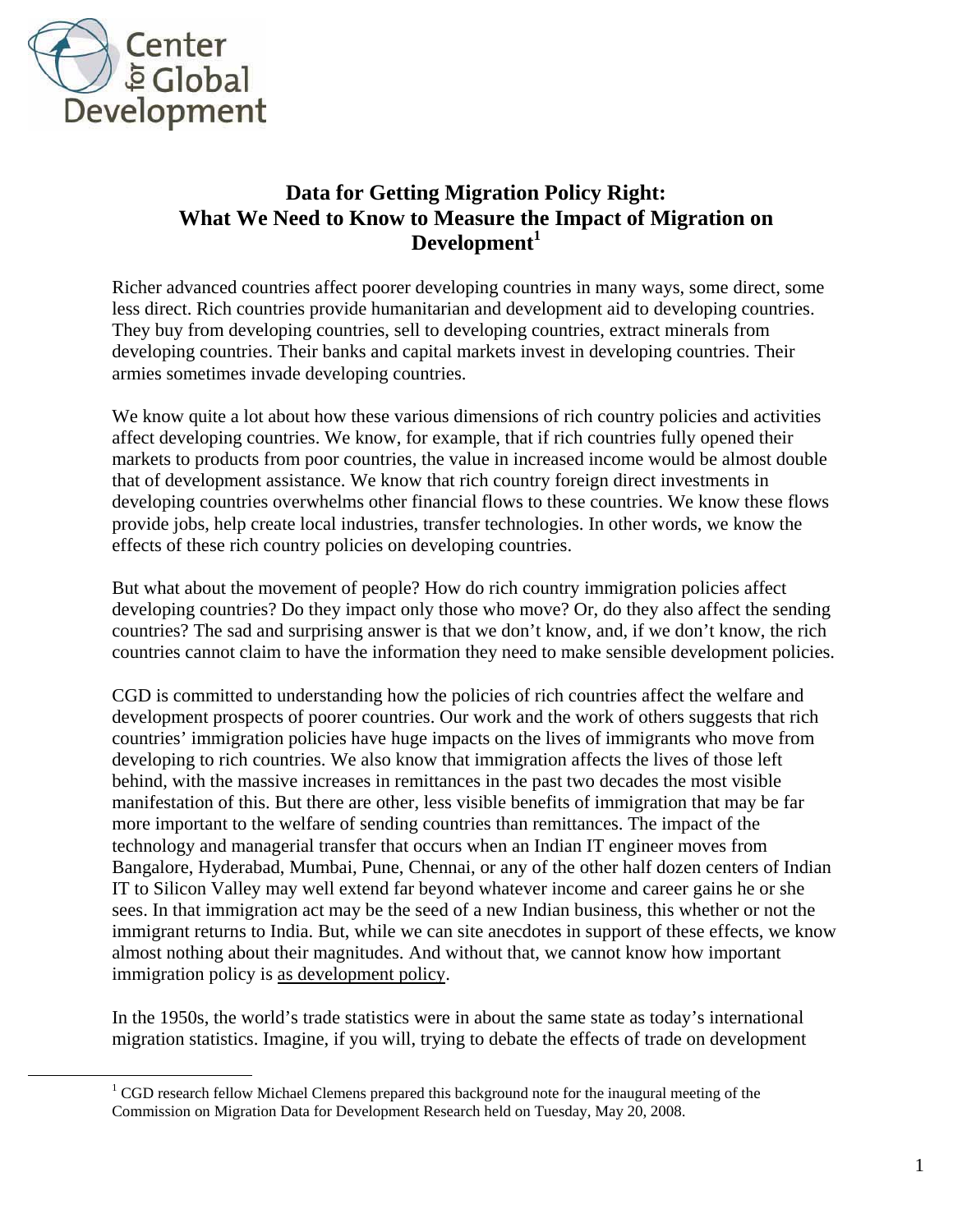

## **Data for Getting Migration Policy Right: What We Need to Know to Measure the Impact of Migration on Development<sup>1</sup>**

Richer advanced countries affect poorer developing countries in many ways, some direct, some less direct. Rich countries provide humanitarian and development aid to developing countries. They buy from developing countries, sell to developing countries, extract minerals from developing countries. Their banks and capital markets invest in developing countries. Their armies sometimes invade developing countries.

We know quite a lot about how these various dimensions of rich country policies and activities affect developing countries. We know, for example, that if rich countries fully opened their markets to products from poor countries, the value in increased income would be almost double that of development assistance. We know that rich country foreign direct investments in developing countries overwhelms other financial flows to these countries. We know these flows provide jobs, help create local industries, transfer technologies. In other words, we know the effects of these rich country policies on developing countries.

But what about the movement of people? How do rich country immigration policies affect developing countries? Do they impact only those who move? Or, do they also affect the sending countries? The sad and surprising answer is that we don't know, and, if we don't know, the rich countries cannot claim to have the information they need to make sensible development policies.

CGD is committed to understanding how the policies of rich countries affect the welfare and development prospects of poorer countries. Our work and the work of others suggests that rich countries' immigration policies have huge impacts on the lives of immigrants who move from developing to rich countries. We also know that immigration affects the lives of those left behind, with the massive increases in remittances in the past two decades the most visible manifestation of this. But there are other, less visible benefits of immigration that may be far more important to the welfare of sending countries than remittances. The impact of the technology and managerial transfer that occurs when an Indian IT engineer moves from Bangalore, Hyderabad, Mumbai, Pune, Chennai, or any of the other half dozen centers of Indian IT to Silicon Valley may well extend far beyond whatever income and career gains he or she sees. In that immigration act may be the seed of a new Indian business, this whether or not the immigrant returns to India. But, while we can site anecdotes in support of these effects, we know almost nothing about their magnitudes. And without that, we cannot know how important immigration policy is as development policy.

In the 1950s, the world's trade statistics were in about the same state as today's international migration statistics. Imagine, if you will, trying to debate the effects of trade on development

<sup>&</sup>lt;u>1</u>  $\rm ^1$  CGD research fellow Michael Clemens prepared this background note for the inaugural meeting of the Commission on Migration Data for Development Research held on Tuesday, May 20, 2008.